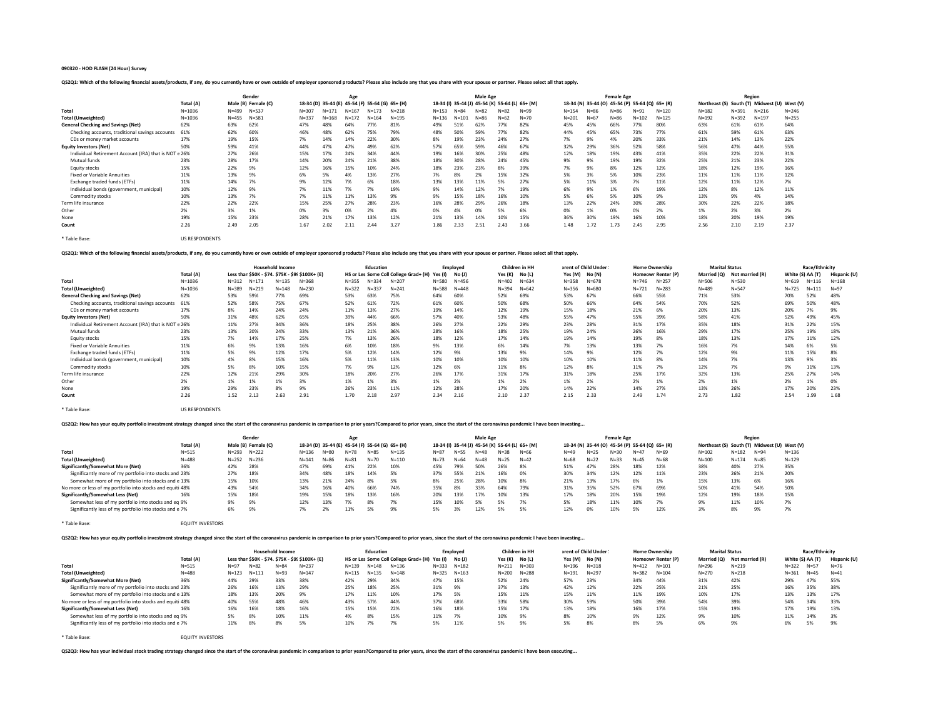### **090320 - HOD FLASH (24 Hour) Survey**

QS2Q1: Which of the following financial assets/products, if any, do you currently have or own outside of employer sponsored products? Please also include any that you share with your spouse or partner. Please select all th

|                                                                |            |           | Gender              |           |           | Age       |                                                 |           |           |          | Male Age |                                                 |          |           |          | <b>Female Age</b> |                                                 |           |                                              | Region    |           |           |
|----------------------------------------------------------------|------------|-----------|---------------------|-----------|-----------|-----------|-------------------------------------------------|-----------|-----------|----------|----------|-------------------------------------------------|----------|-----------|----------|-------------------|-------------------------------------------------|-----------|----------------------------------------------|-----------|-----------|-----------|
|                                                                | Total (A)  |           | Male (B) Female (C) |           |           |           | 18-34 (D) 35-44 (E) 45-54 (F) 55-64 (G) 65+ (H) |           |           |          |          | 18-34 (I) 35-44 (J) 45-54 (K) 55-64 (L) 65+ (M) |          |           |          |                   | 18-34 (N) 35-44 (O) 45-54 (P) 55-64 (Q) 65+ (R) |           | Northeast (S) South (T) Midwest (U) West (V) |           |           |           |
| Total                                                          | $N = 1036$ | $N = 499$ | $N = 537$           | $N = 307$ | $N = 171$ | $N = 167$ | $N = 173$                                       | $N = 218$ | $N = 153$ | $N = 84$ | $N = 82$ | $N = 82$                                        | $N = 99$ | $N = 154$ | $N = 86$ | $N = 86$          | $N = 91$                                        | $N = 120$ | $N = 182$                                    | $N = 391$ | $N = 216$ | $N = 246$ |
| <b>Total (Unweighted)</b>                                      | $N = 1036$ | $N = 455$ | $N = 581$           | $N = 337$ | $N = 168$ | $N = 172$ | $N = 164$                                       | $N = 195$ | $N = 136$ |          | $N = 86$ | $N = 62$                                        | $N=70$   | $N = 201$ | $N = 67$ | $N = 86$          | $N = 102$                                       | $N = 125$ | $N = 192$                                    | $N = 392$ | $N = 197$ | $N = 255$ |
| <b>General Checking and Savings (Net)</b>                      | 62%        | 63%       | 62%                 | 47%       | 48%       | 64%       | 77%                                             | 81%       | 49%       | 51%      | 62%      | 77%                                             | 82%      | 45%       | 45%      | 66%               | 77%                                             | 80%       | 63%                                          | 61%       | 61%       | 64%       |
| Checking accounts, traditional savings accounts                | 61%        | 62%       | 60%                 | 46%       | 48%       | 62%       | 75%                                             | 79%       | 48%       | 50%      | 59%      | 77%                                             | 82%      | 44%       | 45%      | 65%               | 73%                                             | 77%       | 61%                                          | 59%       | 61%       | 63%       |
| CDs or money market accounts                                   | 17%        | 19%       | 15%                 | 7%        | 14%       | 14%       | 22%                                             | 30%       | 8%        | 19%      | 23%      | 24%                                             | 27%      | 7%        | 9%       | 4%                | 20%                                             | 33%       | 21%                                          | 14%       | 13%       | 22%       |
| <b>Equity Investors (Net)</b>                                  | 50%        | 59%       | 41%                 | 44%       | 47%       | 47%       | 49%                                             | 62%       | 57%       | 65%      | 59%      | 46%                                             | 67%      | 32%       | 29%      | 36%               | 52%                                             | 58%       | 56%                                          | 47%       | 44%       | 55%       |
| Individual Retirement Account (IRA) that is NOT $\epsilon$ 26% |            | 27%       | 26%                 | 15%       | 17%       | 24%       | 34%                                             | 44%       | 19%       | 16%      |          | 25%                                             | 48%      | 12%       | 18%      | 19%               | 43%                                             | 41%       | 35%                                          | 22%       | 22%       | 31%       |
| Mutual funds                                                   | 23%        | 28%       | 17%                 | 14%       |           | 24%       | 21%                                             | 38%       | 18%       |          | 28%      | 24%                                             | 45%      | 9%        | 9%       | 19%               | 19%                                             | 32%       | 25%                                          | 21%       | 23%       | 22%       |
| <b>Equity stocks</b>                                           | 15%        | 22%       | 9%                  | 12%       | 16%       | 15%       | 10%                                             | 24%       | 18%       | 23%      | 23%      |                                                 | 39%      | 7%        | 9%       | 8%                | 12%                                             | 12%       | 18%                                          | 12%       | 19%       | 16%       |
| <b>Fixed or Variable Annuities</b>                             | 11%        | 13%       | 9%                  | 6%        |           | 4%        | 13%                                             | 27%       | 7%        | 8%       | 2%       | 15%                                             | 32%      | 5%        | 3%       | 5%                |                                                 | 23%       | 11%                                          | 11%       | 11%       | 12%       |
| Exchange traded funds (ETFs)                                   | 11%        | 14%       | 7%                  | 9%        | 12%       |           | 6%                                              | 18%       | 13%       | 3%،      |          |                                                 | 27%      | 5%        | 11%      | 3%                | 7%                                              | 11%       | 12%                                          | 11%       | 12%       | 7%        |
| Individual bonds (government, municipal)                       | 10%        | 12%       | 9%                  | 7%        | 11%       | 7%        | 7%                                              | 19%       | 9%        | 4%ء      | 12%      |                                                 | 19%      | 6%        | 9%       | 1%                | 6%                                              | 19%       | 12%                                          | 8%        | 12%       | 11%       |
| Commodity stocks                                               | 10%        | 13%       | 7%                  | 7%        | 11%       | 11%       | 13%                                             | 9%        | 9%        |          | 8%       | 16%                                             | 10%      | 5%        | 6%       | 5%                |                                                 | 9%        | 13%                                          | 9%        | 4%        | 14%       |
| Term life insurance                                            | 22%        | 22%       | 22%                 | 15%       | 25%       | 27%       | 28%                                             | 23%       | 16%       | 28%      | 29%      | 26%                                             | 18%      | 13%       | 22%      | 24%               | 30%                                             | 28%       | 30%                                          | 22%       | 22%       | 18%       |
| Other                                                          | 2%         | 3%        | 1%                  | 0%        | 3%        | 0%        | 2%                                              | 4%        | 0%        | 4%       |          | 5%                                              | 6%       | 0%        |          | 0%                | 0%                                              | 2%        | 1%                                           | 2%        | 3%        | 2%        |
| None                                                           | 19%        | 15%       | 23%                 | 28%       | 21%       | 17%       | 13%                                             | 12%       | 21%       | 13%      | 14%      | 10%                                             | 15%      | 36%       | 30%      | 19%               | 16%                                             | 10%       | 18%                                          | 20%       | 19%       | 19%       |
| Count                                                          | 2.26       | 2.49      | 2.05                | 1.67      | 2.02      | 2.11      | 2.44                                            | 3.27      | 1.86      | 2.33     | 2.51     | 2.43                                            | 3.66     | 1.48      | 1.72     | 1.73              | 2.45                                            | 2.95      | 2.56                                         | 2.10      | 2.19      | 2.37      |

\* Table Base: US RESPONDENTS

QS2Q1: Which of the following financial assets/products, if any, do you currently have or own outside of employer sponsored products? Please also include any that you share with your spouse or partner. Please select all th

|                                                                |            |           |           | <b>Household Income</b> |                                                  |           | Education |                                               |           | <b>Employed</b> |                | Children in HH |           | arent of Child Under : |           | <b>Home Ownership</b> | <b>Marital Status</b> |                 |                  | Race/Ethnicity |              |
|----------------------------------------------------------------|------------|-----------|-----------|-------------------------|--------------------------------------------------|-----------|-----------|-----------------------------------------------|-----------|-----------------|----------------|----------------|-----------|------------------------|-----------|-----------------------|-----------------------|-----------------|------------------|----------------|--------------|
|                                                                | Total (A)  |           |           |                         | Less thar \$50K - \$74. \$75K - \$95 \$100K+ (E) |           |           | HS or Les Some Coll College Grad+ (H) Yes (I) |           | No (J)          | Yes (K) No (L) |                | Yes (M)   | No (N)                 |           | Homeowr Renter (P)    | Married (Q)           | Not married (R) | White (S) AA (T) |                | Hispanic (U) |
| Total                                                          | $N = 1036$ | $N = 312$ | $N = 171$ | $N = 135$               | $N = 368$                                        | $N = 355$ | $N = 334$ | $N = 207$                                     | $N = 580$ | $N = 456$       | $N = 402$      | $N = 634$      | $N = 358$ | $N = 678$              | $N = 746$ | $N = 257$             | $N = 506$             | $N = 530$       | $N = 619$        | $N = 116$      | $N = 168$    |
| <b>Total (Unweighted)</b>                                      | $N = 1036$ | $N = 389$ | $N = 219$ | $N = 148$               | $N = 230$                                        | $N = 322$ | $N = 337$ | $N = 241$                                     | $N = 588$ | $N = 448$       | $N = 394$      | $N = 642$      | $N = 356$ | $N = 680$              | $N = 721$ | $N = 283$             | $N = 489$             | $N = 547$       | $N = 725$        | $N = 111$      | $N = 97$     |
| <b>General Checking and Savings (Net)</b>                      | 62%        | 53%       | 59%       | 77%                     | 69%                                              | 53%       | 63%       | 75%                                           | 64%       | 60%             | 52%            | 69%            | 53%       | 67%                    | 66%       | 55%                   | 71%                   | 53%             | 70%              | 52%            | 48%          |
| Checking accounts, traditional savings accounts                | 61%        | 52%       | 58%       | 75%                     | 67%                                              | 52%       | 61%       | 72%                                           | 61%       | 60%             | 50%            | 68%            | 50%       | 66%                    | 64%       | 54%                   | 70%                   | 52%             | 69%              | 50%            | 48%          |
| CDs or money market accounts                                   | 17%        | 8%        | 14%       | 24%                     | 24%                                              | 11%       | 13%       | 27%                                           | 19%       | 14%             | 12%            | 19%            | 15%       | 18%                    | 21%       | 6%                    | 20%                   | 13%             | 20%              | 7%             | 9%           |
| <b>Equity Investors (Net)</b>                                  | 50%        | 31%       | 48%       | 62%                     | 65%                                              | 39%       | 44%       | 66%                                           | 57%       | 40%             | 53%            | 48%            | 55%       |                        | 55%       | 39%                   | 58%                   | 41%             | 52%              | 49%            | 45%          |
| Individual Retirement Account (IRA) that is NOT $\epsilon$ 26% |            | 11%       | 27%       | 34%                     | 36%                                              | 18%       | 25%       | 38%                                           | 26%       | 27%             | 22%            | 29%            | 23%       | 28%                    | 31%       | 17%                   | 35%                   | 18%             | 31%              | 22%            | 15%          |
| Mutual funds                                                   | 23%        | 13%       | 20%       | 24%                     | 33%                                              | 13%       | 21%       | 36%                                           | 28%       | 16%             | 18%            | 25%            | 19%       | 24%                    | 26%       | 16%                   | 29%                   | 17%             | 25%              | 19%            | 18%          |
| Equity stocks                                                  | 15%        | 7%        | 14%       |                         | 25%                                              | 7%        | 13%       | 26%                                           | 18%       | 12%             | 17%            | 14%            | 19%       | 14%                    | 19%       | 8%                    | 18%                   | 13%             | 17%              | 11%            | 12%          |
| <b>Fixed or Variable Annuities</b>                             | 11%        | 6%        | 9%        | 13%                     | 16%                                              | 6%        | 10%       | 18%                                           | 9%        | 13%             | 6%             | 14%            | 7%        | 13%                    | 13%       | $1\%$                 | 16%                   | 7%              | 14%              | 6%             | 5%           |
| Exchange traded funds (ETFs)                                   | 11%        | 5%        | 9%        | 12%                     | 17%                                              | 5%        | 12%       | 14%                                           | 12%       | 9%              | 13%            | 9%             | 14%       | 9%                     | 12%       |                       | 12%                   |                 | 11%              | 15%            | 8%           |
| Individual bonds (government, municipal)                       | 10%        | 4%        | 8%        | 15%                     | 16%                                              | 5%        | 11%       | 13%                                           | 10%       | 10%             | 10%            | 10%            | 10%       | 10%                    | 11%       | 8%                    | 14%                   | 7%              | 13%              | 9%             | 3%           |
| Commodity stocks                                               | 10%        | 5%        | 8%        |                         | 15%                                              | 7%        | 9%        | 12%                                           | 12%       | 6%              | 11%            | 8%             | 12%       | 8%                     | 11%       | $1\%$                 | 12%                   | 7%              | 9%               | 11%            | 13%          |
| Term life insurance                                            | 22%        | 12%       | 21%       | 29%                     | 30%                                              | 18%       | 20%       | 27%                                           | 26%       | 17%             | 31%            | 17%            | 31%       | 18%                    | 25%       | 17%                   | 32%                   | 13%             | 25%              | 27%            | 14%          |
| Other                                                          | 2%         | 1%        | 1%        | 1%                      | 3%                                               | 1%        | 1%        | 3%                                            | 1%        | 2%              | 1%             | 2%             | 1%        | 2%                     | 2%        | 1%                    | 2%                    | 1%              | 2%               | 1%             | 0%           |
| None                                                           | 19%        | 29%       | 23%       | 8%                      | 9%                                               | 26%       | 23%       | 11%                                           | 12%       | 28%             | 17%            | 20%            | 14%       | 22%                    | 14%       | 27%                   | 13%                   | 26%             | 17%              | 20%            | 23%          |
| Count                                                          | 2.26       | 1.52      | 2.13      | 2.63                    | 2.91                                             | 1.70      | 2.18      | 2.97                                          | 2.34      | 2.16            | 2.10           | 2.37           | 2.15      | 2.33                   | 2.49      | 1.74                  | 2.73                  | 1.82            | 2.54             | 1.99           | 1.68         |

\* Table Base: US RESPONDENTS

QS2Q2: How has your equity portfolio investment strategy changed since the start of the coronavirus pandemic in comparison to prior years?Compared to prior years, since the start of the coronavirus pandemic I have been inv

|                                                            |           |           | Gender              |           |          | Age      |                                                 |           |          |          | <b>Male Age</b>                                 |          |          |          |                                                 | <b>Female Age</b> |          |          |           | Region    |                                              |           |
|------------------------------------------------------------|-----------|-----------|---------------------|-----------|----------|----------|-------------------------------------------------|-----------|----------|----------|-------------------------------------------------|----------|----------|----------|-------------------------------------------------|-------------------|----------|----------|-----------|-----------|----------------------------------------------|-----------|
|                                                            | Total (A) |           | Male (B) Female (C) |           |          |          | 18-34 (D) 35-44 (E) 45-54 (F) 55-64 (G) 65+ (H) |           |          |          | 18-34 (I) 35-44 (J) 45-54 (K) 55-64 (L) 65+ (M) |          |          |          | 18-34 (N) 35-44 (O) 45-54 (P) 55-64 (Q) 65+ (R) |                   |          |          |           |           | Northeast (S) South (T) Midwest (U) West (V) |           |
| Total                                                      | $N = 515$ | $N = 293$ | $N = 222$           | $N = 136$ | $N = 80$ | $N = 78$ | $N = 85$                                        | $N = 135$ | $N = 87$ | $N=55$   | $N = 48$                                        | $N = 38$ | $N = 66$ | $N = 49$ | $N = 25$                                        | $N = 30$          | $N = 47$ | $N = 69$ | $N = 102$ | $N = 182$ | $N = 94$                                     | $N = 136$ |
| <b>Total (Unweighted)</b>                                  | $N = 488$ | $N = 252$ | $N = 236$           | $N = 141$ | $N = 86$ | $N = 81$ | $N=70$                                          | $N = 110$ | $N=73$   | $N = 64$ | $N = 48$                                        | $N=25$   | $N = 42$ | $N = 68$ | $N = 22$                                        | $N = 33$          | $N = 45$ | $N = 68$ | $N = 100$ | $N = 174$ | $N = 85$                                     | $N = 129$ |
| Significantly/Somewhat More (Net)                          | 36%       | 42%       | 28%                 | 47%       | 69%      | 41%      | 22%                                             | 10%       | 45%      | 79%      |                                                 | 26%      | 8%       | 51%      |                                                 | 28%               | 18%      | 12%      | 38%       | 40%       | 27%                                          | 35%       |
| Significantly more of my portfolio into stocks and 23%     |           | 27%       | 18%                 | 34%       | 48%      | 18%      | 14%                                             | 5%        | 37%      | 55%      | 21%                                             | 16%      | 0%       | 30%      | 34%                                             | 12%               | 12%      | 11%      | 23%       | 26%       | 21%                                          | 20%       |
| Somewhat more of my portfolio into stocks and e 13%        |           | 15%       | 10%                 | 13%       | 21%      | 24%      | 8%                                              | 5%        | 8%       | 25%      | 28%                                             | 10%      | 8%       | 21%      | 13%                                             | 17%               | 6%       | 1%       | 15%       | 13%       | 6%                                           | 16%       |
| No more or less of my portfolio into stocks and equiti 48% |           | 43%       | 54%                 | 34%       | 16%      | 40%      | 66%                                             | 74%       | 35%      | 8%       | 33%                                             | 64%      | 79%      | 31%      | 35%                                             | 52%               | 67%      | 69%      | 50%       | 41%       | 54%                                          | 50%       |
| Significantly/Somewhat Less (Net)                          | 16%       | 15%       | 18%                 | 19%       | 15%      | 18%      | 13%                                             | 16%       | 20%      | 13%      |                                                 | 10%      | 13%      | 17%      | 18%                                             | 20%               | 15%      | 19%      | 12%       | 19%       | 18%                                          | 15%       |
| Somewhat less of my portfolio into stocks and eq 9%        |           | 9%        | 9%                  | 12%       | 13%      |          | 8%                                              | 7%        | 15%      |          |                                                 | 5%       | 7%       | 5%       | 18%                                             | 11%               | 10%      | 7%       | 9%        | 11%       | 10%                                          | 7%        |
| Significantly less of my portfolio into stocks and e 7%    |           | 6%        |                     |           | 2%       | 11%      | 5%                                              | 9%        | 5%       | 3%       | 12%                                             | 5%       | 5%       | 12%      | 0%                                              | 10%               | 5%       | 12%      | 3%        |           | 9%                                           | 7%        |

\* Table Base: EQUITY INVESTORS

QS2Q2: How has your equity portfolio investment strategy changed since the start of the coronavirus pandemic in comparison to prior years?Compared to prior years, since the start of the coronavirus pandemic I have been inv

|                                                            |           |           |           | <b>Household Income</b> |                                                  |           | <b>Education</b> |                                               |                     | Employed |                | Children in HH |                | arent of Child Under 1 | <b>Home Ownership</b> |                    | <b>Marital Status</b> |                             |                  | Race/Ethnicity |              |
|------------------------------------------------------------|-----------|-----------|-----------|-------------------------|--------------------------------------------------|-----------|------------------|-----------------------------------------------|---------------------|----------|----------------|----------------|----------------|------------------------|-----------------------|--------------------|-----------------------|-----------------------------|------------------|----------------|--------------|
|                                                            | Total (A) |           |           |                         | Less thar \$50K - \$74. \$75K - \$95 \$100K+ (E) |           |                  | HS or Les Some Coll College Grad+ (H) Yes (I) |                     | No (J)   | Yes (K) No (L) |                | Yes (M) No (N) |                        |                       | Homeowr Renter (P) |                       | Married (Q) Not married (R) | White (S) AA (T) |                | Hispanic (U) |
| Total                                                      | $N = 515$ | $N = 97$  | $N = 82$  | $N = 84$                | $N = 237$                                        | $N = 139$ | $N = 148$        | $N = 136$                                     | N=333 N=182         |          | $N = 211$      | $N = 303$      | $N = 196$      | $N = 318$              | $N = 412$             | $N = 101$          | $N = 296$             | $N = 219$                   | $N = 322$        | $N = 57$       | $N = 76$     |
| <b>Total (Unweighted)</b>                                  | $N = 488$ | $N = 123$ | $N = 111$ | $N=93$                  | $N = 147$                                        | $N = 115$ | $N = 135$        | $N = 148$                                     | $N = 325$ $N = 163$ |          | $N = 200$      | $N = 288$      | $N = 191$      | N=297                  | $N = 382$             | $N = 104$          | $N = 270$             | $N = 218$                   | $N = 361$        | $N = 45$       | $N = 41$     |
| Significantly/Somewhat More (Net)                          | 36%       | 44%       |           | 33%                     | 38%                                              | 42%       | 29%              | 34%                                           | 47%                 | 15%      | 52%            | 24%            | 57%            | 23%                    | 34%                   | 44%                | 31%                   | 42%                         | 29%              | 47%            | 55%          |
| Significantly more of my portfolio into stocks and 23%     |           | 26%       | 16%       | 13%                     | 29%                                              | 25%       | 18%              | 25%                                           | 31%                 | 9%       | 37%            | 13%            | 42%            | 12%                    | 22%                   | 25%                | 21%                   | 25%                         | 16%              | 35%            | 38%          |
| Somewhat more of my portfolio into stocks and e 13%        |           | 18%       | 13%       | 20%                     | 9%                                               | 17%       | 11%              | 10%                                           | 17%                 | 5%       | 15%            | 11%            | 15%            | 11%                    | 11%                   | 19%                | 10%                   | 17%                         | 13%              | 13%            | 17%          |
| No more or less of my portfolio into stocks and equiti 48% |           | 40%       | 55%       | 48%                     | 46%                                              | 43%       | 57%              | 44%                                           | 37%                 | 68%      | 33%            | 58%            | 30%            | 59%                    | 50%                   | 39%                | 54%                   | 39%                         | 54%              | 34%            | 33%          |
| Significantly/Somewhat Less (Net)                          | 16%       | 16%       | 16%       | 18%                     | 16%                                              | 15%       | 15%              | 22%                                           | 16%                 | 18%      | 15%            | 17%            | 13%            | 18%                    | 16%                   | 17%                | 15%                   | 19%                         | 17%              | 19%            | 13%          |
| Somewhat less of my portfolio into stocks and eq 9%        |           | 5%        | 8%        | 10%                     | 11%                                              | 4%        | 8%               | 15%                                           | 11%                 | 7%       | 10%            | 9%             | 8%             | 10%                    | 9%                    | 12%                | 9%                    | 10%                         | 11%              | 14%            | 3%           |
| Significantly less of my portfolio into stocks and e 7%    |           | 11%       | 8%        | 8%                      | 5%                                               | 10%       | 7%               |                                               | 5%                  | 11%      | 5%             | 9%             | 5%             | 8%                     | 8%                    | 5%                 | 6%                    |                             | 6%               | 5%             | 9%           |
|                                                            |           |           |           |                         |                                                  |           |                  |                                               |                     |          |                |                |                |                        |                       |                    |                       |                             |                  |                |              |

\* Table Base: EQUITY INVESTORS

QS2Q3: How has your individual stock trading strategy changed since the start of the coronavirus pandemic in comparison to prior years? Compared to prior years, since the start of the coronavirus pandemic I have been execu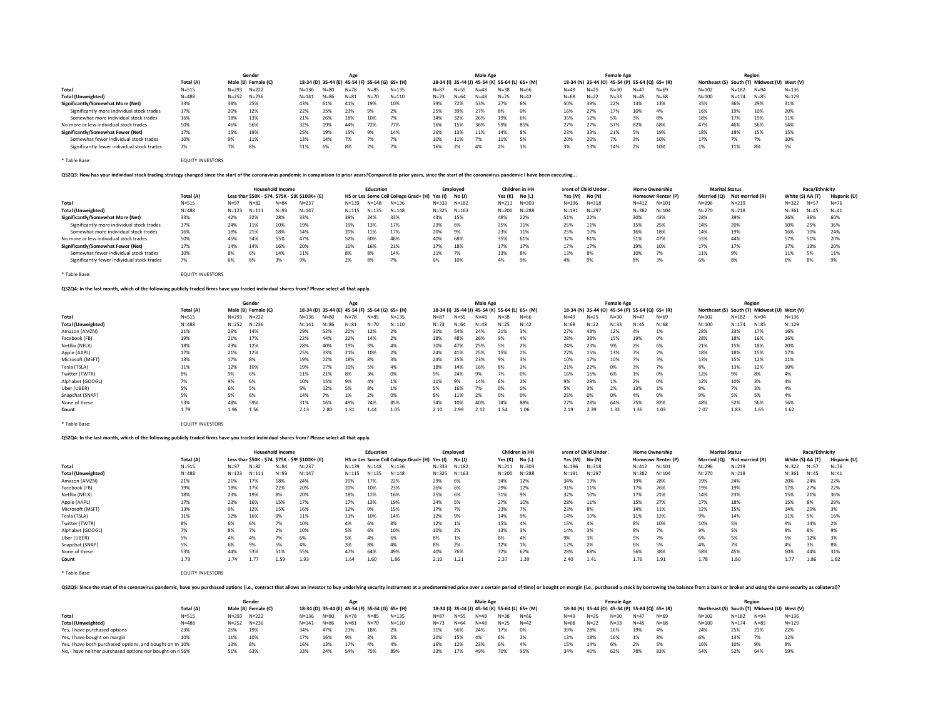|                                             |                  | Gender    |                     |           | Age      |          |                                                 |           |          | Male Age |          |          |                                                 |          | <b>Female Age</b> |          |                                                 |          |                                              | Region    |          |           |
|---------------------------------------------|------------------|-----------|---------------------|-----------|----------|----------|-------------------------------------------------|-----------|----------|----------|----------|----------|-------------------------------------------------|----------|-------------------|----------|-------------------------------------------------|----------|----------------------------------------------|-----------|----------|-----------|
|                                             | <b>Total (A)</b> |           | Male (B) Female (C) |           |          |          | 18-34 (D) 35-44 (E) 45-54 (F) 55-64 (G) 65+ (H) |           |          |          |          |          | 18-34 (I) 35-44 (J) 45-54 (K) 55-64 (L) 65+ (M) |          |                   |          | 18-34 (N) 35-44 (O) 45-54 (P) 55-64 (Q) 65+ (R) |          | Northeast (S) South (T) Midwest (U) West (V) |           |          |           |
| Total                                       | $N = 515$        | $N = 293$ | $N = 222$           | $N = 136$ | $N = 80$ | $N=78$   | $N = 85$                                        | $N = 135$ | $N = 87$ | $N = 55$ | $N = 48$ | $N = 38$ | $N = 66$                                        | $N = 49$ | $N = 25$          | $N = 30$ | $N = 4$                                         | $N = 69$ | $N = 102$                                    | $N = 182$ | $N = 94$ | $N = 136$ |
| <b>Total (Unweighted)</b>                   | $N = 488$        |           | $N = 252$ $N = 236$ | $N = 141$ | $N = 86$ | $N = 81$ | $N=70$                                          | $N = 110$ | $N = 73$ | $N = 64$ | $N = 48$ | $N = 25$ | $N=42$                                          | $N = 68$ | $N = 22$          | $N = 33$ | $N = 45$                                        | $N = 68$ | $N = 100$                                    | $N = 174$ | $N = 85$ | $N = 129$ |
| Significantly/Somewhat More (Net)           | 33%              | 38%       | 25%                 | 43%       | 61%      | 41%      | 19%                                             | 10%       | 39%      | 72%      | 53%      | 27%      | 6%                                              | 50%      | 39%               | 22%      | 13%                                             | 13%      | 35%                                          | 36%       | 29%      | 31%       |
| Significantly more individual stock trades  | 17%              | 20%       | 12%                 | 22%       | 35%      | 23%      |                                                 | 2%        | 25%      | 39%      | 27%      | 8%       | 0%                                              | 16%      | 27%               | 17%      | 10%                                             | 4%       | 16%                                          | 19%       | 10%      | 20%       |
| Somewhat more individual stock trades       | 16%              | 18%       | 13%                 | 21%       | 26%      | 18%      | 10%                                             | 7%        | 14%      | 32%      | 26%      | 19%      | 6%                                              | 35%      | 12%               | 5%       |                                                 | 8%       | 18%                                          | 17%       | 19%      | 11%       |
| No more or less individual stock trades     | 50%              | 46%       | 56%                 | 32%       | 19%      | 44%      | 72%                                             | 77%       | 36%      | 15%      | 36%      | 59%      | 85%                                             | 27%      | 27%               | 57%      | 82%                                             | 68%      | 47%                                          | 46%       | 56%      | 54%       |
| Significantly/Somewhat Fewer (Net)          | 17%              | 15%       | 19%                 | 25%       | 19%      | 15%      |                                                 | 14%       | 26%      | 13%      | 11%      | 14%      | 8%                                              | 23%      | 33%               | 21%      | 5%                                              | 19%      | 18%                                          | 18%       | 15%      | 15%       |
| Somewhat fewer individual stock trades      | 10%              | 9%        | 11%                 | 13%       | 14%      | 7%       |                                                 | 7%        | 10%      | 11%      | 7%       | 11%      | 5%                                              | 20%      | 20%               | 7%       |                                                 | 10%      | 17%                                          | 7%        | 7%       | 10%       |
| Significantly fewer individual stock trades | 7%               | 7%        | 8%                  | 11%       | 6%       | 8%       |                                                 | 7%        | 16%      | 2%       | 4%       | 2%       | 3%                                              | 3%       | 13%               | 14%      |                                                 | 10%      | 1%                                           | 11%       | 8%       |           |

\* Table Base: EQUITY INVESTORS

QS2Q3: How has your individual stock trading strategy changed since the start of the coronavirus pandemic in comparison to prior years? Compared to prior years, since the start of the coronavirus pandemic I have been execu

|                                             |           |           |           | <b>Household Income</b> |                                                  |           | Education |                                               |           | <b>Employed</b> |                | Children in HH |                | arent of Child Under 1 |           | <b>Home Ownership</b> | <b>Marital Status</b> |                             |                  | <b>Race/Ethnicity</b> |              |
|---------------------------------------------|-----------|-----------|-----------|-------------------------|--------------------------------------------------|-----------|-----------|-----------------------------------------------|-----------|-----------------|----------------|----------------|----------------|------------------------|-----------|-----------------------|-----------------------|-----------------------------|------------------|-----------------------|--------------|
|                                             | Total (A) |           |           |                         | Less thar \$50K - \$74. \$75K - \$95 \$100K+ (E) |           |           | HS or Les Some Coll College Grad+ (H) Yes (I) |           | No (J)          | Yes (K) No (L) |                | Yes (M) No (N) |                        |           | Homeowr Renter (P)    |                       | Married (Q) Not married (R) | White (S) AA (T) |                       | Hispanic (U) |
| Total                                       | $N = 515$ | $N=97$    | $N = 82$  | $N = 84$                | $N = 237$                                        | $N = 139$ | $N = 148$ | $N = 136$                                     | $N = 333$ | $N = 182$       | $N = 211$      | $N = 303$      | $N = 196$      | $N = 318$              | $N = 412$ | $N = 101$             | $N = 296$             | $N = 219$                   | $N = 322$        | $N=57$                | $N = 76$     |
| <b>Total (Unweighted)</b>                   | $N = 488$ | $N = 123$ | $N = 111$ | $N=93$                  | $N = 147$                                        | $N = 115$ | $N = 135$ | $N = 148$                                     | $N = 325$ | $N = 163$       | $N = 200$      | $N = 288$      | $N = 191$      | $N = 297$              | $N = 382$ | $N = 104$             | $N = 270$             | $N = 218$                   | $N = 361$        | $N = 45$              | $N = 41$     |
| Significantly/Somewhat More (Net)           | 33%       | 42%       | 32%       | 28%                     | 33%                                              | 39%       | 24%       | 33%                                           | 43%       | 15%             | 48%            | 22%            | 51%            | 22%                    | 30%       | 43%                   | 28%                   | 39%                         | 26%              | 36%                   | 60%          |
| Significantly more individual stock trades  | 17%       | 24%       | 11%       |                         | 19%                                              | 19%       | 13%       | 17%                                           | 23%       | 6%              | 25%            | 11%            | 25%            | 11%                    | 15%       | 25%                   | 14%                   | 20%                         | 10%              | 25%                   | 36%          |
| Somewhat more individual stock trades       | 16%       | 18%       | 21%       | 18%                     | 14%                                              | 20%       | 11%       | 17%                                           | 20%       | 9%              | 23%            | 11%            | 25%            | 10%                    | 16%       | 18%                   | 14%                   | 19%                         | 16%              | 10%                   | 24%          |
| No more or less individual stock trades     | 50%       | 45%       | 54%       | 55%                     | 47%                                              | 52%       | 60%       | 46%                                           | 40%       | 68%             | 35%            | 61%            | 32%            | 61%                    | 51%       | 47%                   | 55%                   | 44%                         | 57%              | 51%                   | 20%          |
| Significantly/Somewhat Fewer (Net)          | 17%       | 14%       | 14%       | 16%                     | 20%                                              | 10%       | 16%       | 21%                                           | 17%       | 18%             | 17%            | 17%            | 17%            | 17%                    | 19%       | 10%                   | 17%                   | 17%                         | 17%              | 13%                   | 20%          |
| Somewhat fewer individual stock trades      | 10%       | 8%        | 6%        |                         | 11%                                              | 8%        |           | 14%                                           | 11%       | 7%              | 13%            | 8%             | 13%            | 8%                     | 10%       | 7%                    | 11%                   | 9%                          | 11%              | 5%                    | 11%          |
| Significantly fewer individual stock trades |           | 6%        | 8%        |                         | 9%                                               | 2%        |           | 7%                                            | 6%        | 10%             | 4%             | 9%             | 4%             | 9%                     | 8%        | 3%                    | 6%                    | 8%                          | 6%               | 8%                    | 9%           |

\* Table Base: EQUITY INVESTORS

## **QS2Q4: In the last month, which of the following publicly traded firms have you traded individual shares from? Please select all that apply.**

|                           |           |           | Gender              |                                                 |          | Age      |          |           |          |          | <b>Male Age</b>                                 |          |          |          |          | <b>Female Age</b> |                                                 |          |                                              | Region    |          |           |
|---------------------------|-----------|-----------|---------------------|-------------------------------------------------|----------|----------|----------|-----------|----------|----------|-------------------------------------------------|----------|----------|----------|----------|-------------------|-------------------------------------------------|----------|----------------------------------------------|-----------|----------|-----------|
|                           | Total (A) |           | Male (B) Female (C) | 18-34 (D) 35-44 (E) 45-54 (F) 55-64 (G) 65+ (H) |          |          |          |           |          |          | 18-34 (I) 35-44 (J) 45-54 (K) 55-64 (L) 65+ (M) |          |          |          |          |                   | 18-34 (N) 35-44 (O) 45-54 (P) 55-64 (Q) 65+ (R) |          | Northeast (S) South (T) Midwest (U) West (V) |           |          |           |
| Total                     | $N = 515$ | $N = 293$ | $N = 222$           | $N = 136$                                       | $N = 80$ | $N = 78$ | $N = 85$ | $N = 135$ | $N = 87$ | $N = 55$ | $N = 48$                                        | $N = 38$ | $N = 66$ | $N = 49$ | $N = 25$ | $N = 30$          | $N = 47$                                        | $N = 69$ | $N = 102$                                    | $N = 182$ | $N = 94$ | $N = 136$ |
| <b>Total (Unweighted)</b> | $N = 488$ | $N = 252$ | $N = 236$           | $N = 141$                                       | $N = 86$ | $N = 81$ | $N=70$   | $N = 110$ | $N=73$   | $N = 64$ | $N = 48$                                        | $N=25$   | $N=42$   | $N=68$   | $N=22$   | $N = 33$          | $N = 45$                                        | $N=68$   | $N = 100$                                    | $N = 174$ | $N = 85$ | $N = 129$ |
| Amazon (AMZN)             | 21%       | 26%       | 14%                 | 29%                                             | 52%      | 20%      | 12%      | 2%        | 30%      | 54%      | 24%                                             | 21%      | 3%       | 27%      | 48%      | 12%               | 4%                                              | 1%       | 28%                                          | 23%       | 17%      | 16%       |
| Facebook (FB)             | 19%       | 21%       | 17%                 | 22%                                             | 44%      | 22%      | 14%      | 2%        | 18%      | 48%      | 26%                                             | 9%       | 4%       | 28%      | 38%      | 15%               | 19%                                             | 0%       | 28%                                          | 18%       | 16%      | 16%       |
| Netflix (NFLX)            | 18%       | 23%       | 12%                 | 28%                                             | 40%      | 19%      | 3%       |           | 30%      | 47%      | 25%                                             | 5%       | 2%       | 24%      | 23%      | 9%                | 2%                                              | 6%       | 21%                                          | 15%       | 18%      | 20%       |
| Apple (AAPL)              | 17%       | 21%       | 12%                 | 25%                                             | 33%      | 21%      | 10%      | 2%        | 24%      | 41%      | 25%                                             | 15%      | 2%       | 27%      | 15%      | 13%               | 7%                                              | 2%       | 18%                                          | 18%       | 15%      | 17%       |
| Microsoft (MSFT)          | 13%       | 17%       | 8%                  | 19%                                             | 22%      | 18%      | 8%       | 3%        | 24%      | 25%      | 23%                                             | 9%       |          | 10%      | 17%      |                   | 7%                                              | 3%       | 13%                                          | 15%       | 12%      | 11%       |
| Tesla (TSLA)              | 11%       | 12%       | 10%                 | 19%                                             | 17%      | 10%      | 5%       | 4%        | 18%      | 14%      | 16%                                             | 8%       | 2%       | 21%      | 22%      | 0%                | 3%                                              | 7%       | 8%                                           | 13%       | 12%      | 10%       |
| Twitter (TWTR)            | 8%        | 9%        | 6%                  | 11%                                             | 21%      | 8%       | 3%       | 0%        | 9%       | 24%      | 9%                                              | 7%       | 0%       | 16%      | 16%      | 6%                |                                                 | 0%       | 12%                                          | 9%        | 8%       | 4%        |
| Alphabet (GOOGL)          | 7%        | 9%        | 6%                  | 10%                                             | 15%      | 9%       | 4%       |           | 11%      | 9%       | 14%                                             | 6%       |          | 9%       | 29%      |                   | 2%                                              | 0%       | 12%                                          | 10%       | 3%       | 4%        |
| Uber (UBER)               | 5%        | 6%        | 5%                  | 5%                                              | 12%      | 5%       | 8%       | 1%        | 5%       | 16%      | 7%                                              | 0%       |          | 5%       | 3%       | 2%                | 13%                                             |          | 9%                                           | 7%        | 3%       | 4%        |
| Snapchat (SNAP)           | 5%        | 5%        | 6%                  | 14%                                             | 7%       | 1%       | 2%       | 0%        | 8%       | 11%      | 2%                                              | 0%       | 0%       | 25%      | 0%       | 0%                | 4%                                              | 0%       | 9%                                           | 5%        | 5%       | 4%        |
| None of these             | 53%       | 48%       | 59%                 | 31%                                             | 16%      | 49%      | 74%      | 85%       | 34%      | 10%      | 40%                                             | 74%      | 88%      | 27%      | 28%      | 64%               | 75%                                             | 82%      | 48%                                          | 52%       | 56%      | 56%       |
| Count                     | 1.79      | 1.96      | 1.56                | 2.13                                            | 2.80     | 1.81     | 1.44     | 1.05      | 2.10     | 2.99     | 2.12                                            | 1.54     | 1.06     | 2.19     | 2.39     | 1.33              | 1.36                                            | 1.03     | 2.07                                         | 1.83      | 1.65     | 1.62      |

\* Table Base: EQUITY INVESTORS

**QS2Q4: In the last month, which of the following publicly traded firms have you traded individual shares from? Please select all that apply.**

|                           |           |           | <b>Household Income</b><br>Less thar \$50K - \$74. \$75K - \$95 \$100K+ (E) |          |           |           | <b>Education</b> |                                               |           | Employed  |           | Children in HH |                | arent of Child Under : |           | <b>Home Ownership</b> | <b>Marital Status</b> |                             |           | Race/Ethnicity   |              |
|---------------------------|-----------|-----------|-----------------------------------------------------------------------------|----------|-----------|-----------|------------------|-----------------------------------------------|-----------|-----------|-----------|----------------|----------------|------------------------|-----------|-----------------------|-----------------------|-----------------------------|-----------|------------------|--------------|
|                           | Total (A) |           |                                                                             |          |           |           |                  | HS or Les Some Coll College Grad+ (H) Yes (I) |           | No (J)    |           | Yes (K) No (L) | Yes (M) No (N) |                        |           | Homeowr Renter (P)    |                       | Married (Q) Not married (R) |           | White (S) AA (T) | Hispanic (U) |
| Total                     | $N = 515$ | $N=97$    | $N = 82$                                                                    | $N = 84$ | $N = 237$ | $N = 139$ | $N = 148$        | $N = 136$                                     | $N = 333$ | $N = 182$ | $N = 211$ | $N = 303$      | $N = 196$      | $N = 318$              | $N = 412$ | $N = 101$             | $N = 296$             | $N = 219$                   | $N = 322$ | $N=57$           | $N = 76$     |
| <b>Total (Unweighted)</b> | $N = 488$ | $N = 123$ | $N = 111$                                                                   | $N=93$   | $N = 147$ | $N = 115$ | $N = 135$        | $N = 148$                                     | $N = 325$ | $N = 163$ | $N = 200$ | $N = 288$      | $N = 191$      | $N = 297$              | $N = 382$ | $N = 104$             | $N = 270$             | $N = 218$                   | $N = 361$ | $N = 45$         | $N = 41$     |
| Amazon (AMZN)             | 21%       | 21%       | 17%                                                                         | 18%      | 24%       | 20%       | 17%              | 22%                                           | 29%       | 6%        | 34%       | 12%            | 34%            | 13%                    | 19%       | 28%                   | 19%                   | 24%                         | 20%       | 24%              | 22%          |
| Facebook (FB)             | 19%       | 18%       | 17%                                                                         | 22%      | 20%       | 20%       | 10%              | 23%                                           | 26%       | 6%        | 29%       | 12%            | 31%            | 11%                    | 17%       | 26%                   | 19%                   | 19%                         | 17%       | 27%              | 22%          |
| Netflix (NFLX)            | 18%       | 23%       | 19%                                                                         | 8%       | 20%       | 18%       | 12%              | 16%                                           | 25%       | 6%        | 31%       | 9%             | 32%            | 10%                    | 17%       | 21%                   | 14%                   | 23%                         | 15%       | 21%              | 36%          |
| Apple (AAPL)              | 17%       | 23%       | 16%                                                                         | 15%      | 17%       | 17%       | 13%              | 19%                                           | 24%       | 5%        | 27%       | 10%            | 28%            | 11%                    | 15%       | 27%                   | 17%                   | 18%                         | 15%       | 8%               | 29%          |
| Microsoft (MSFT)          | 13%       | 9%        | 12%                                                                         | 15%      | 16%       | 12%       | 9%               | 15%                                           | 17%       | 7%        | 23%       | 7%             | 23%            | 8%                     | 14%       | 11%                   | 12%                   | 15%                         | 14%       | 20%              | 3%           |
| Tesla (TSLA)              | 11%       | 12%       | 16%                                                                         | 9%       | 11%       | 11%       | 10%              | 14%                                           | 12%       | 9%        | 14%       | 9%             | 14%            | 10%                    | 11%       | 12%                   | 9%                    | 14%                         | 11%       | 5%               | 16%          |
| Twitter (TWTR)            | 8%        | 6%        | 6%                                                                          | 7%       | 10%       | 4%        | 6%               | 8%                                            | 12%       | 1%        | 15%       | 4%             | 15%            | 4%                     | 8%        | 10%                   | 10%                   | 5%                          | 9%        | 14%              | 2%           |
| Alphabet (GOOGL)          | 7%        | 8%        | 7%                                                                          | 2%       | 10%       | 5%        | 6%               | 10%                                           | 10%       | 2%        | 13%       | 3%             | 14%            | 3%                     | 8%        | 7%                    | 9%                    | 5%                          | 8%        | 8%               | 9%           |
| Uber (UBER)               | 5%        | 4%        | 4%                                                                          | 7%       | 6%        | 5%        | 4%               | 6%                                            | 8%        | 1%        | 8%        | 4%             | 9%             | 3%                     | 5%        | 7%                    | 6%                    | 5%                          | 5%        | 12%              | 3%           |
| Snapchat (SNAP)           | 5%        | 6%        | 9%                                                                          | 5%       | 4%        | 3%        | 8%               | 4%                                            | 8%        | 2%        | 12%       | 1%             | 12%            | 2%                     | 6%        | 5%                    | 4%                    | 7%                          | 4%        | 3%               | 8%           |
| None of these             | 53%       | 44%       | 53%                                                                         | 51%      | 55%       | 47%       | 64%              | 49%                                           | 40%       | 76%       | 32%       | 67%            | 28%            | 68%                    | 56%       | 38%                   | 58%                   | 45%                         | 60%       | 44%              | 31%          |
| Count                     | 1.79      | 1.74      | 1.77                                                                        | 1.59     | 1.93      | 1.64      | 1.60             | 1.86                                          | 2.10      | 1.21      | 2.37      | 1.39           | 2.40           | 1.41                   | 1.76      | 1.91                  | 1.78                  | 1.80                        | 1.77      | 1.86             | 1.82         |
|                           |           |           |                                                                             |          |           |           |                  |                                               |           |           |           |                |                |                        |           |                       |                       |                             |           |                  |              |

\* Table Base: EQUITY INVESTORS

Q52Q5: Since the start of the coronavirus pandemic, have you purchased options (i.e., contract that allows an investor to buy underlying security instrument at a predetermined price over a certain period of time) or bought

|                                                          |           |                     | Gender              |           |          |          |                                                 |           |          |          | <b>Male Age</b> |          |                                                 |          |        | <b>Female Age</b> |                                                 |          |                                              |           | Region   |           |
|----------------------------------------------------------|-----------|---------------------|---------------------|-----------|----------|----------|-------------------------------------------------|-----------|----------|----------|-----------------|----------|-------------------------------------------------|----------|--------|-------------------|-------------------------------------------------|----------|----------------------------------------------|-----------|----------|-----------|
|                                                          | Total (A) |                     | Male (B) Female (C) |           |          |          | 18-34 (D) 35-44 (E) 45-54 (F) 55-64 (G) 65+ (H) |           |          |          |                 |          | 18-34 (I) 35-44 (J) 45-54 (K) 55-64 (L) 65+ (M) |          |        |                   | 18-34 (N) 35-44 (O) 45-54 (P) 55-64 (Q) 65+ (R) |          | Northeast (S) South (T) Midwest (U) West (V) |           |          |           |
| Total                                                    | $N = 515$ | $N = 293$ $N = 222$ |                     | $N = 136$ | $N = 80$ | $N = 78$ | $N = 85$                                        | $N = 135$ | $N = 87$ | $N=55$   | $N = 48$        | $N = 38$ | $N=66$                                          | $N = 49$ | $N=25$ | $N = 30$          | $N=47$                                          | $N = 69$ | $N = 102$                                    | $N = 182$ | $N = 94$ | $N = 136$ |
| <b>Total (Unweighted)</b>                                | $N = 488$ | $N = 252$ $N = 236$ |                     | $N = 141$ | $N = 86$ | $N = 81$ | $N = 70$                                        | $N = 110$ | $N=73$   | $N = 64$ | $N = 48$        | $N=25$   | $N = 42$                                        | $N = 68$ | $N=22$ | $N = 33$          | $N = 45$                                        | $N = 68$ | $N = 100$                                    | $N = 174$ | $N = 85$ | $N = 129$ |
| Yes. I have purchased options                            | 23%       | 26%                 | 19%                 | 34%       | 47%      |          | 18%                                             |           | 31%      | 56%      | 24%             | 17%      | በ%                                              | 39%      | 28%    | 16%               | 19%                                             | 4%       | 24%                                          | 25%       | 21%      | 22%       |
| Yes, I have bought on margin                             | 10%       | 11%                 | 10%                 | 17%       | 16%      |          | 3%                                              | 5%        | 20%      | 15%      | 4%              | 6%       | 2%                                              | 13%      | 18%    | 16%               | 1%                                              | 8%       |                                              | 13%       |          | 12%       |
| Yes, I have both purchased options, and bought on m 10%  |           | 13% 8%              |                     | 16%       | 13%      |          |                                                 |           | 16%      | 12%      | 23%             |          | 4%                                              | 15%      | 14%    |                   |                                                 | 5%       | 16%                                          | 10%       |          | 8%        |
| No. I have neither purchased options nor bought on r 56% |           | 51%                 | 63%                 | 33%       | 24%      |          | 75%                                             | 89%       | 33%      | 17%      | 49%             | 70%      | 95%                                             | 34%      | 40%    |                   | 78%                                             | 83%      | 54%                                          | 52%       | 64%      | 59%       |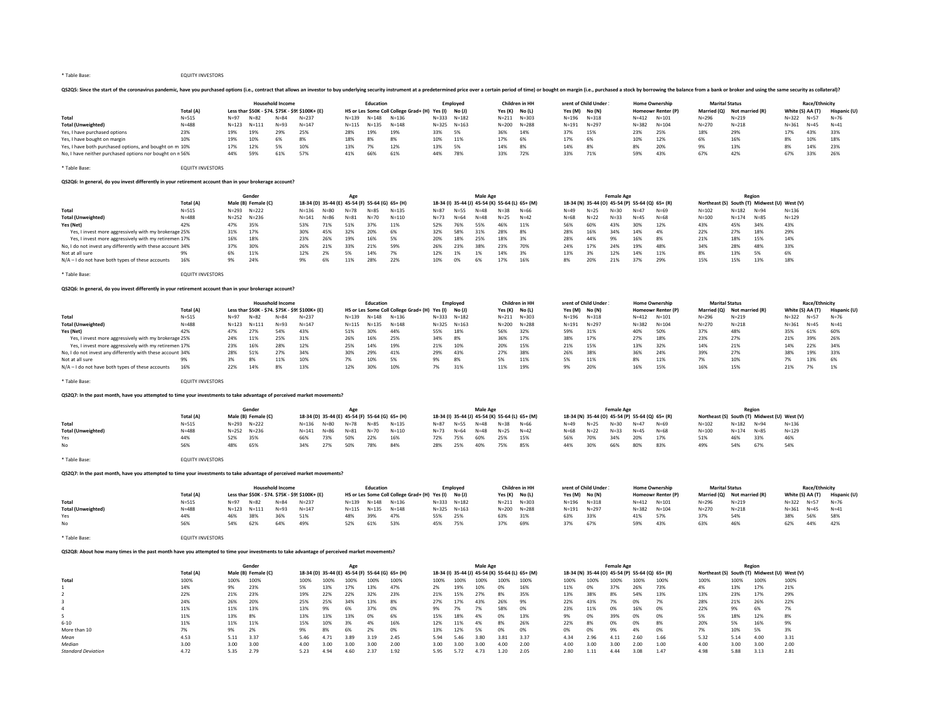### \* Table Base: EQUITY INVESTORS

Q52Q5: Since the start of the coronavirus pandemic, have you purchased options (i.e., contract that allows an investor to buy underlying security instrument at a predetermined price over a certain period of time) or bought

|                                                          |           |           |           | Household Income |                                                  |           | <b>Education</b> |                                                      |                     | Emploved |                     | Children in HH |                | arent of Child Under 1 |             | <b>Home Ownership</b> | <b>Marital Status</b> |                             |                  | Race/Ethnicity |              |
|----------------------------------------------------------|-----------|-----------|-----------|------------------|--------------------------------------------------|-----------|------------------|------------------------------------------------------|---------------------|----------|---------------------|----------------|----------------|------------------------|-------------|-----------------------|-----------------------|-----------------------------|------------------|----------------|--------------|
|                                                          | Total (A) |           |           |                  | Less thar \$50K - \$74. \$75K - \$95 \$100K+ (E) |           |                  | HS or Les Some Coll College Grad+ (H) Yes (I) No (J) |                     |          | Yes (K) No (L)      |                | Yes (M) No (N) |                        |             | Homeowr Renter (P)    |                       | Married (Q) Not married (R) | White (S) AA (T) |                | Hispanic (U) |
| Total                                                    | $N = 515$ | $N=97$    | $N = 82$  | $N = 84$         | $N = 237$                                        | $N = 139$ | $N = 148$        | N=136                                                | $N = 333$ $N = 182$ |          | $N = 211$ $N = 303$ |                | $N = 196$      | $N = 318$              | N=412 N=101 |                       | $N = 296$             | $N = 219$                   | $N = 322$        | $N = 57$       | N=76         |
| <b>Total (Unweighted)</b>                                | $N = 488$ | $N = 123$ | $N = 111$ | $N=93$           | $N = 147$                                        | $N = 115$ | $N = 135$        | $N = 148$                                            | $N = 325$ $N = 163$ |          | $N = 200$ $N = 288$ |                | $N = 191$      | $N = 297$              | $N = 382$   | $N = 104$             | $N = 270$             | $N = 218$                   | $N = 361$        | $N = 45$       | $N = 41$     |
| Yes, I have purchased options                            | 23%       | 19%       | 19%       | 29%              | 25%                                              | 28%       | 19%              | 19%                                                  | 33%                 | 5%       | 36%                 | 14%            | 37%            | 15%                    | 23%         | 25%                   | 18%                   | 29%                         | 17%              | 43%            | 33%          |
| Yes, I have bought on margin                             |           | 19%       | 10%       | 6%               | 8%                                               | 18%       | 8%               | 8%                                                   | 10%                 | 11%      | 17%                 | 6%             | 17%            | 6%                     | 10%         | 12%                   |                       | 16%                         | 8%               | 10%            | 18%          |
| Yes, I have both purchased options, and bought on m 10%  |           | 17%       | 12%       | 5%               | 10%                                              | 13%       | 7%               | 12%                                                  | 13%                 | 5%       | 14%                 | - 8%           | 14%            | 8%                     | 8%          | 20%                   |                       | 13%                         | 8%               | 14%            | 23%          |
| No, I have neither purchased options nor bought on r 56% |           | 44%       | 59%       | 61%              |                                                  | 41%       | 66%              | 61%                                                  | 44%                 | 78%      | 33%                 | 72%            | 33%            | 71%                    | 59%         | 43%                   | 67%                   | 42%                         | 67%              | 33%            | 26%          |

\* Table Base: EQUITY INVESTORS

# **QS2Q6: In general, do you invest differently in your retirement account than in your brokerage account?**

|                                                            |           |     | Gender              |           |          |          |                                                 |           |          |          | <b>Male Age</b>                                 |          |          |          |          | <b>Female Age</b> |                                                 |          |           |           | Region                                       |           |
|------------------------------------------------------------|-----------|-----|---------------------|-----------|----------|----------|-------------------------------------------------|-----------|----------|----------|-------------------------------------------------|----------|----------|----------|----------|-------------------|-------------------------------------------------|----------|-----------|-----------|----------------------------------------------|-----------|
|                                                            | Total (A) |     | Male (B) Female (C) |           |          |          | 18-34 (D) 35-44 (E) 45-54 (F) 55-64 (G) 65+ (H) |           |          |          | 18-34 (I) 35-44 (J) 45-54 (K) 55-64 (L) 65+ (M) |          |          |          |          |                   | 18-34 (N) 35-44 (O) 45-54 (P) 55-64 (Q) 65+ (R) |          |           |           | Northeast (S) South (T) Midwest (U) West (V) |           |
| Total                                                      | $N = 515$ |     | $N = 293$ $N = 222$ | $N = 136$ | $N = 80$ | $N = 78$ | $N = 85$                                        | $N = 135$ | $N = 87$ | $N=55$   | $N = 48$                                        | $N = 38$ | $N=66$   | $N = 49$ | $N = 25$ | $N = 30$          | $N = 47$                                        | $N = 69$ | $N = 102$ | $N = 182$ | $N = 94$                                     | $N = 136$ |
| <b>Total (Unweighted)</b>                                  | $N = 488$ |     | $N = 252$ $N = 236$ | $N = 141$ | $N = 86$ | $N = 81$ | $N=70$                                          | $N = 110$ | $N=73$   | $N = 64$ | $N = 48$                                        | $N = 25$ | $N = 42$ | $N = 68$ | $N=22$   | $N = 33$          | $N=45$                                          | $N = 68$ | $N = 100$ | $N = 174$ | $N = 85$                                     | $N = 129$ |
| Yes (Net)                                                  | 42%       | 47% | 35%                 | 53%       | 71%      | 51%      | 37%                                             | 11%       | 52%      | 76%      | 55%                                             | 46%      | 11%      | 56%      | 60%      | 43%               | 30%                                             | 12%      | 43%       | 45%       | 34%                                          | 43%       |
| Yes, I invest more aggressively with my brokerage 25%      |           | 31% | 17%                 | 30%       | 45%      | 32%      | 20%                                             | 6%        |          | 58%      |                                                 | 28%      | 8%       | 28%      | 16%      | 34%               | 14%                                             | 4%       | 22%       | 27%       | 18%                                          | 29%       |
| Yes, I invest more aggressively with my retiremen 17%      |           | 16% | 18%                 | 23%       | 26%      | 19%      | 16%                                             | 5%        | 20%      | 18%      | 25%                                             | 18%      | 3%       | 28%      | 44%      | 9%                | 16%                                             | 8%       | 21%       | 18%       | 15%                                          | 14%       |
| No, I do not invest any differently with these account 34% |           | 37% | 30%                 | 26%       | 21%      | 33%      | 21%                                             | 59%       | 26%      | 23%      | 38%                                             | 23%      | 70%      | 24%      | 17%      | 24%               | 19%                                             | 48%      | 34%       | 28%       | 48%                                          | 33%       |
| Not at all sure                                            | 9%        | 6%  | 11%                 | 12%       |          | 5%       | 14%                                             | 7%        |          |          |                                                 | 14%      | 3%       | 13%      | 3%       | 12%               | 14%                                             | 11%      | 8%        | 13%       | 5%                                           | 6%        |
| N/A - I do not have both types of these accounts           | 16%       | 9%  | 24%                 | 9%        | 6%       | 11%      | 28%                                             | 22%       | 10%      | በ%       | 6%                                              | 17%      | 16%      | 8%       | 20%      | 21%               | 37%                                             | 29%      | 15%       | 15%       | 13%                                          | 18%       |

\* Table Base: EQUITY INVESTORS

# **QS2Q6: In general, do you invest differently in your retirement account than in your brokerage account?**

|                                                            |           |           |           | <b>Household Income</b> |                                                  |           | <b>Education</b> |                                               |     | Emploved            |     | Children in HH      |                | arent of Child Under |           | <b>Home Ownership</b>     | <b>Marital Status</b> |                             |           | Race/Ethnicity   |              |
|------------------------------------------------------------|-----------|-----------|-----------|-------------------------|--------------------------------------------------|-----------|------------------|-----------------------------------------------|-----|---------------------|-----|---------------------|----------------|----------------------|-----------|---------------------------|-----------------------|-----------------------------|-----------|------------------|--------------|
|                                                            | Total (A) |           |           |                         | Less thar \$50K - \$74. \$75K - \$95 \$100K+ (E) |           |                  | HS or Les Some Coll College Grad+ (H) Yes (I) |     | No (J)              |     | Yes (K) No (L)      | Yes (M) No (N) |                      |           | <b>Homeowr Renter (P)</b> |                       | Married (Q) Not married (R) |           | White (S) AA (T) | Hispanic (U) |
| Total                                                      | $N = 515$ | $N=97$    | $N = 82$  | $N = 84$                | $N = 237$                                        | $N = 139$ | $N = 148$        | N=136                                         |     | $N = 333$ $N = 182$ |     | $N = 211$ $N = 303$ | $N = 196$      | $N = 318$            | $N = 412$ | $N = 101$                 | $N = 296$             | $N = 219$                   | $N = 322$ | $N = 57$         | $N = 76$     |
| <b>Total (Unweighted)</b>                                  | $N = 488$ | $N = 123$ | $N = 111$ | $N=93$                  | $N = 147$                                        | $N = 115$ | $N = 135$        | $N = 148$                                     |     | $N = 325$ $N = 163$ |     | $N = 200$ $N = 288$ | $N = 191$      | N=297                | $N = 382$ | $N = 104$                 | $N = 270$             | $N = 218$                   | $N = 361$ | $N = 45$         | $N = 41$     |
| Yes (Net)                                                  | 42%       | 47%       | 27%       | 54%                     | 43%                                              | 51%       | 30%              | 44%                                           | 55% | 18%                 | 56% | 32%                 | 59%            | 31%                  | 40%       | 50%                       | 37%                   | 48%                         | 35%       | 61%              | 60%          |
| Yes, I invest more aggressively with my brokerage 25%      |           | 24%       | 11%       | 25%                     | 31%                                              | 26%       | 16%              | 25%                                           | 34% | 8%                  | 36% | 17%                 | 38%            | 17%                  | 27%       | 18%                       | 23%                   | 27%                         | 21%       | 39%              | 26%          |
| Yes, I invest more aggressively with my retiremen 17%      |           | 23%       | 16%       | 28%                     | 12%                                              | 25%       | 14%              | 19%                                           | 21% | 10%                 | 20% | 15%                 | 21%            | 15%                  | 13%       | 32%                       | 14%                   | 21%                         | 14%       | 22%              | 34%          |
| No, I do not invest any differently with these account 34% |           | 28%       | 51%       | 27%                     | 34%                                              | 30%       | 29%              | 41%                                           | 29% | 43%                 | 27% | 38%                 | 26%            | 38%                  | 36%       | 24%                       | 39%                   | 27%                         | 38%       | 19%              | 33%          |
| Not at all sure                                            |           |           |           | 11%                     | 10%                                              | 7%        | 10%              | 5%                                            | 9%  | 8%                  | 5%  | 11%                 | 5%             | 11%                  | 8%        | 11%                       | 7%                    |                             |           | 13%              | 6%           |
| N/A - I do not have both types of these accounts           | 16%       | 22%       | 14%       | 8%                      | 13%                                              | 12%       | 30%              | 10%                                           | 7%  | 31%                 | 11% | 19%                 | 9%             | 20%                  | 16%       | 15%                       | 16%                   | 15%                         | 21%       |                  | 1%           |

\* Table Base: EQUITY INVESTORS

### **QS2Q7: In the past month, have you attempted to time your investments to take advantage of perceived market movements?**

|                           |           | Gender              |                     |           |          |          |                                                 |           |          | <b>Male Age</b> |                                                 |          |          |          |          | <b>Female Age</b> |                                                 |          |                                              |           | Region   |           |  |  |
|---------------------------|-----------|---------------------|---------------------|-----------|----------|----------|-------------------------------------------------|-----------|----------|-----------------|-------------------------------------------------|----------|----------|----------|----------|-------------------|-------------------------------------------------|----------|----------------------------------------------|-----------|----------|-----------|--|--|
|                           | Total (A) |                     | Male (B) Female (C) |           |          |          | 18-34 (D) 35-44 (E) 45-54 (F) 55-64 (G) 65+ (H) |           |          |                 | 18-34 (I) 35-44 (J) 45-54 (K) 55-64 (L) 65+ (M) |          |          |          |          |                   | 18-34 (N) 35-44 (O) 45-54 (P) 55-64 (Q) 65+ (R) |          | Northeast (S) South (T) Midwest (U) West (V) |           |          |           |  |  |
| Total                     | $N = 515$ | $N = 293$ $N = 222$ |                     | $N = 136$ | $N = 80$ | $N = 78$ | $N = 85$                                        | $N = 135$ | $N = 87$ | $N = 55$        | $N = 48$                                        | $N = 38$ | $N = 66$ | $N = 49$ | $N=25$   | $N = 30$          | $N = 47$                                        | $N = 69$ | $N = 102$                                    | $N = 182$ | $N = 94$ | $N = 136$ |  |  |
| <b>Total (Unweighted)</b> | $N = 488$ | $N = 252$ $N = 236$ |                     | $N = 141$ | $N = 86$ | $N = 81$ | $N=70$                                          | $N = 110$ | $N=73$   | $N = 64$        | $N = 48$                                        | $N=25$   | $N = 42$ | $N = 68$ | $N = 22$ | $N = 33$          | $N = 45$                                        | $N = 68$ | $N = 100$                                    | $N = 174$ | $N = 85$ | $N = 129$ |  |  |
| Yes                       | 44%       | 52%                 | 35%                 | 66%       | 73%      | 50%      | 22%                                             | 16%       |          | 75%             | 60%                                             | 25%      | 15%      | 56%      | 70%      | 34%               | 20%                                             | 17%      |                                              | 46%       | 33%      | 46%       |  |  |
| No                        | 56%       | 48%                 | 65%                 | 34%       | 27%      | 50%      | 78%                                             | 84%       |          | 25%             | 40%                                             | 75%      | 85%      | 44%      | 30%      | 66%               | 80%                                             | 83%      |                                              |           | 67%      | 54%       |  |  |

\* Table Base: EQUITY INVESTORS

### **QS2Q7: In the past month, have you attempted to time your investments to take advantage of perceived market movements?**

|                           |           | <b>Household Income</b> |           |          |                                                  |     | Education           |                                                      |                     | <b>Employed</b> | Children in HH |                     | arent of Child Under 1 |     | <b>Home Ownership</b> |                    | <b>Marital Status</b> | Race/Ethnicity              |                    |     |              |
|---------------------------|-----------|-------------------------|-----------|----------|--------------------------------------------------|-----|---------------------|------------------------------------------------------|---------------------|-----------------|----------------|---------------------|------------------------|-----|-----------------------|--------------------|-----------------------|-----------------------------|--------------------|-----|--------------|
|                           | Total (A) |                         |           |          | Less thar \$50K - \$74, \$75K - \$95 \$100K+ (E) |     |                     | HS or Les Some Coll College Grad+ (H) Yes (I) No (J) |                     |                 | Yes (K) No (L) |                     | Yes (M) No (N)         |     |                       | Homeowr Renter (P) |                       | Married (Q) Not married (R) | White (S) AA (T)   |     | Hispanic (U) |
| Total                     | $N = 515$ | $N=97$                  | $N = 82$  | $N = 8d$ | $N = 237$                                        |     | $N = 139$ $N = 148$ | $N = 136$                                            | $N = 333$ $N = 182$ |                 |                | $N = 211$ $N = 303$ | $N = 196$ $N = 318$    |     | $N=412$ $N=101$       |                    | $N = 296$             | $N = 219$                   | $N = 322$ $N = 57$ |     | $N = 76$     |
| <b>Total (Unweighted)</b> | $N = 488$ | $N = 123$               | $N = 111$ | $N=93$   | $N = 147$                                        |     | N=115 N=135         | $N = 148$                                            | $N = 325$ $N = 163$ |                 |                | $N = 200$ $N = 288$ | N=191 N=297            |     | $N = 382$             | $N = 104$          | $N = 270$             | $N = 218$                   | $N = 361$ $N = 45$ |     | $N = 41$     |
| <b>Yes</b>                | 44%       | 46%                     | 38%       | 36%      | 51%                                              | 48% | 39%                 | 47%                                                  | 55%                 | 25%             | 63%            | 31%                 | 63%                    | 33% | 41%                   | 57%                | 37%                   | 54%                         | 38%                | 56% | 58%          |
| No                        | 56%       | 54%                     | 62%       | 64%      | 49%                                              | 52% | 61%                 | 53%                                                  | 45%                 | 75%             | 37%            | 69%                 |                        | 67% | 59%                   | 43%                | 63%                   | 46%                         | 62%                | 44% | 42%          |

\* Table Base: EQUITY INVESTORS

### **QS2Q8: About how many times in the past month have you attempted to time your investments to take advantage of perceived market movements?**

|                           |           | Gender |                     |      |      | Age  |      |                                                 |      |      | <b>Male Age</b> |      |                                                 |      |      | <b>Female Age</b> |      | Region                                          |      |      |      |                                              |
|---------------------------|-----------|--------|---------------------|------|------|------|------|-------------------------------------------------|------|------|-----------------|------|-------------------------------------------------|------|------|-------------------|------|-------------------------------------------------|------|------|------|----------------------------------------------|
|                           | Total (A) |        | Male (B) Female (C) |      |      |      |      | 18-34 (D) 35-44 (E) 45-54 (F) 55-64 (G) 65+ (H) |      |      |                 |      | 18-34 (I) 35-44 (J) 45-54 (K) 55-64 (L) 65+ (M) |      |      |                   |      | 18-34 (N) 35-44 (O) 45-54 (P) 55-64 (Q) 65+ (R) |      |      |      | Northeast (S) South (T) Midwest (U) West (V) |
| Total                     | 100%      | 100%   | 100%                | 100% | 100% | 100% | 100% | 100%                                            | 100% | 100% | 100%            | 100% | 100%                                            | 100% | 100% | 100%              | 100% | 100%                                            | 100% | 100% | 100% | 100%                                         |
|                           | 14%       | 9%     | 23%                 | 5%   | 13%  | 17%  | 13%  | 47%                                             | 2%   | 19%  | 10%             | በ%   | 16%                                             | 11%  | 0%   | 37%               | 26%  | 73%                                             | 4%   | 13%  | 17%  | 21%                                          |
|                           | 22%       | 21%    | 23%                 | 19%  | 22%  | 22%  | 32%  | 23%                                             | 21%  | 15%  | 27%             |      | 35%                                             | 13%  | 38%  | 8%                | 54%  | 13%                                             | 13%  | 23%  | 17%  | 29%                                          |
|                           | 24%       | 26%    | 20%                 | 25%  | 25%  | 34%  | 13%  | 8%                                              | 27%  | 17%  | 43%             | 26%  | 9%                                              | 22%  | 43%  | 7%                | 0%   | 7%                                              | 28%  | 21%  | 26%  | 22%                                          |
|                           | 11%       | 11%    | 13%                 | 13%  |      | 6%   | 37%  | 0%                                              |      |      | 7%              | 58%  | 0%                                              | 23%  | 11%  | 0%                | 16%  | 0%                                              | 22%  | 9%   | 6%   |                                              |
|                           | 11%       | 13%    | 8%                  | 13%  | 13%  | 13%  | 0%   | 6%                                              | 15%  | 18%  | 4%              | 0%   | 13%                                             | 9%   | 0%   | 39%               | 0%   | 0%                                              | 5%   | 18%  | 12%  | 8%                                           |
| $6 - 10$                  | 11%       | 11%    | 11%                 | 15%  | 10%  | 3%   | 4%   | 16%                                             | 12%  | 11%  | 4%              | 8%   | 26%                                             | 22%  | 8%   | 0%                | 0%   | 8%                                              | 20%  | 5%   | 16%  | 9%                                           |
| More than 10              | 7%        | 9%     | 2%                  | 9%   |      | 6%   | 2%   | 0%                                              | 13%  | 12%  | 5%              | 0%   | 0%                                              | 0%   | 0%   | 9%                | 4%   | 0%                                              | 7%   | 10%  | 5%   | 3%                                           |
| Mean                      | 4.53      | 5.11   | 3.37                | 5.46 | 4.71 | 3.89 | 3.19 | 2.45                                            | 5.94 | 5.46 | 3.80            | 3.81 | 3.37                                            | 4.34 | 2.96 | 4.11              | 2.60 | 1.66                                            | 5.32 | 5.14 | 4.00 | 3.31                                         |
| Median                    | 3.00      | 3.00   | 3.00                | 4.00 | 3.00 | 3.00 | 3.00 | 2.00                                            | 3.00 | 3.00 | 3.00            | 4.00 | 2.00                                            | 4.00 | 3.00 | 3.00              | 2.00 | 1.00                                            | 4.00 | 3.00 | 3.00 | 2.00                                         |
| <b>Standard Deviation</b> | 4.72      | 5.35   | 2.79                | 5.23 | 4.94 | 4.60 | 2.37 | 1.92                                            | 5.95 | 5.72 | 4.73            | 1.20 | 2.05                                            | 2.80 | 1.11 | 4.44              | 3.08 | 1.47                                            | 4.98 | 5.88 | 3.13 | 2.81                                         |